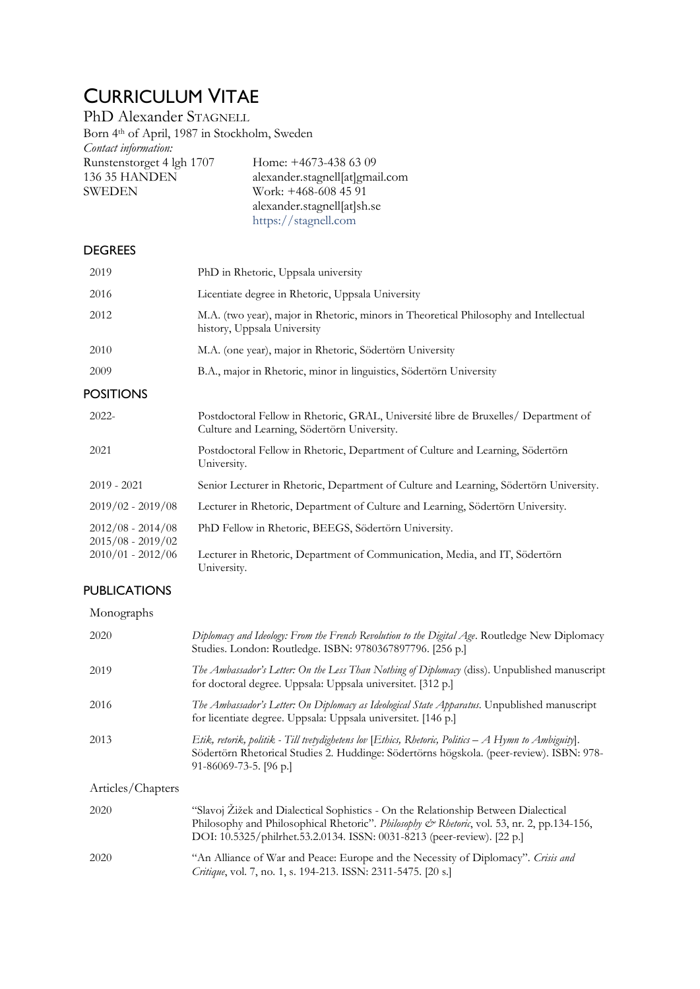# CURRICULUM VITAE

PhD Alexander STAGNELL Born 4th of April, 1987 in Stockholm, Sweden *Contact information:* Runstenstorget 4 lgh 1707 Home: +4673-438 63 09<br>136 35 HANDEN alexander.stagnell[at]gma 136 35 HANDEN alexander.stagnell[at]gmail.com<br>SWEDEN Work: +468-608 45 91 Work:  $+468-608$  45 91 alexander.stagnell[at]sh.se

#### **DEGREES**

| 2019                                       | PhD in Rhetoric, Uppsala university                                                                                                |
|--------------------------------------------|------------------------------------------------------------------------------------------------------------------------------------|
| 2016                                       | Licentiate degree in Rhetoric, Uppsala University                                                                                  |
| 2012                                       | M.A. (two year), major in Rhetoric, minors in Theoretical Philosophy and Intellectual<br>history, Uppsala University               |
| 2010                                       | M.A. (one year), major in Rhetoric, Södertörn University                                                                           |
| 2009                                       | B.A., major in Rhetoric, minor in linguistics, Södertörn University                                                                |
| <b>POSITIONS</b>                           |                                                                                                                                    |
| $2022 -$                                   | Postdoctoral Fellow in Rhetoric, GRAL, Université libre de Bruxelles/ Department of<br>Culture and Learning, Södertörn University. |
| 2021                                       | Postdoctoral Fellow in Rhetoric, Department of Culture and Learning, Södertörn<br>University.                                      |
| $2019 - 2021$                              | Senior Lecturer in Rhetoric, Department of Culture and Learning, Södertörn University.                                             |
| $2019/02 - 2019/08$                        | Lecturer in Rhetoric, Department of Culture and Learning, Södertörn University.                                                    |
| $2012/08 - 2014/08$<br>$2015/08 - 2019/02$ | PhD Fellow in Rhetoric, BEEGS, Södertörn University.                                                                               |
| $2010/01 - 2012/06$                        | Lecturer in Rhetoric, Department of Communication, Media, and IT, Södertörn<br>University.                                         |

[https://stagnell.com](https://stagnell.com/)

### PUBLICATIONS

Monographs

| 2020              | Diplomacy and Ideology: From the French Revolution to the Digital Age. Routledge New Diplomacy<br>Studies. London: Routledge. ISBN: 9780367897796. [256 p.]                                                                                                 |
|-------------------|-------------------------------------------------------------------------------------------------------------------------------------------------------------------------------------------------------------------------------------------------------------|
| 2019              | The Ambassador's Letter: On the Less Than Nothing of Diplomacy (diss). Unpublished manuscript<br>for doctoral degree. Uppsala: Uppsala universitet. [312 p.]                                                                                                |
| 2016              | The Ambassador's Letter: On Diplomacy as Ideological State Apparatus. Unpublished manuscript<br>for licentiate degree. Uppsala: Uppsala universitet. [146 p.]                                                                                               |
| 2013              | Etik, retorik, politik - Till tvetydighetens lov [Ethics, Rhetoric, Politics $-A$ Hymn to Ambiguity].<br>Södertörn Rhetorical Studies 2. Huddinge: Södertörns högskola. (peer-review). ISBN: 978-<br>91-86069-73-5. [96 p.]                                 |
| Articles/Chapters |                                                                                                                                                                                                                                                             |
| 2020              | "Slavoj Žižek and Dialectical Sophistics - On the Relationship Between Dialectical<br>Philosophy and Philosophical Rhetoric". Philosophy & Rhetoric, vol. 53, nr. 2, pp.134-156,<br>DOI: 10.5325/philrhet.53.2.0134. ISSN: 0031-8213 (peer-review). [22 p.] |
| 2020              | "An Alliance of War and Peace: Europe and the Necessity of Diplomacy". Crisis and<br>Critique, vol. 7, no. 1, s. 194-213. ISSN: 2311-5475. [20 s.]                                                                                                          |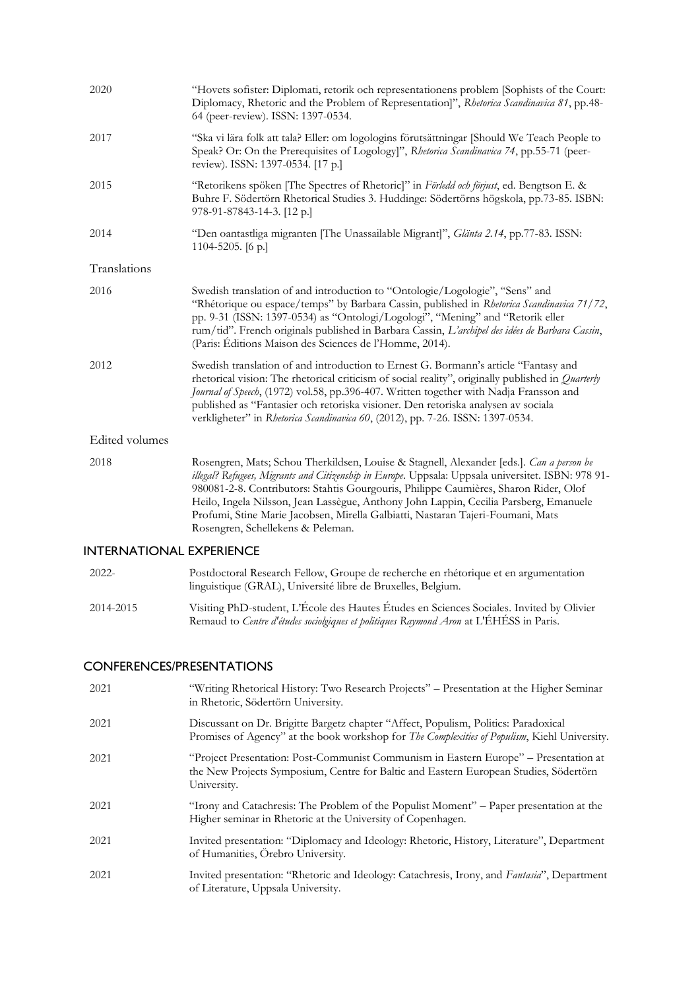| 2020                    | "Hovets sofister: Diplomati, retorik och representationens problem [Sophists of the Court:<br>Diplomacy, Rhetoric and the Problem of Representation]", Rhetorica Scandinavica 81, pp.48-<br>64 (peer-review). ISSN: 1397-0534.                                                                                                                                                                                                                                                                          |
|-------------------------|---------------------------------------------------------------------------------------------------------------------------------------------------------------------------------------------------------------------------------------------------------------------------------------------------------------------------------------------------------------------------------------------------------------------------------------------------------------------------------------------------------|
| 2017                    | "Ska vi lära folk att tala? Eller: om logologins förutsättningar [Should We Teach People to<br>Speak? Or: On the Prerequisites of Logology]", Rhetorica Scandinavica 74, pp.55-71 (peer-<br>review). ISSN: 1397-0534. [17 p.]                                                                                                                                                                                                                                                                           |
| 2015                    | "Retorikens spöken [The Spectres of Rhetoric]" in Förledd och förjust, ed. Bengtson E. &<br>Buhre F. Södertörn Rhetorical Studies 3. Huddinge: Södertörns högskola, pp.73-85. ISBN:<br>978-91-87843-14-3. [12 p.]                                                                                                                                                                                                                                                                                       |
| 2014                    | "Den oantastliga migranten [The Unassailable Migrant]", Glänta 2.14, pp.77-83. ISSN:<br>1104-5205. [6 p.]                                                                                                                                                                                                                                                                                                                                                                                               |
| Translations            |                                                                                                                                                                                                                                                                                                                                                                                                                                                                                                         |
| 2016                    | Swedish translation of and introduction to "Ontologie/Logologie", "Sens" and<br>"Rhétorique ou espace/temps" by Barbara Cassin, published in Rhetorica Scandinavica 71/72,<br>pp. 9-31 (ISSN: 1397-0534) as "Ontologi/Logologi", "Mening" and "Retorik eller<br>rum/tid". French originals published in Barbara Cassin, L'archipel des idées de Barbara Cassin,<br>(Paris: Éditions Maison des Sciences de l'Homme, 2014).                                                                              |
| 2012                    | Swedish translation of and introduction to Ernest G. Bormann's article "Fantasy and<br>rhetorical vision: The rhetorical criticism of social reality", originally published in <i>Quarterly</i><br>Journal of Speech, (1972) vol.58, pp.396-407. Written together with Nadja Fransson and<br>published as "Fantasier och retoriska visioner. Den retoriska analysen av sociala<br>verkligheter" in Rhetorica Scandinavica 60, (2012), pp. 7-26. ISSN: 1397-0534.                                        |
| <b>Edited volumes</b>   |                                                                                                                                                                                                                                                                                                                                                                                                                                                                                                         |
| 2018                    | Rosengren, Mats; Schou Therkildsen, Louise & Stagnell, Alexander [eds.]. Can a person be<br>illegal? Refugees, Migrants and Citizenship in Europe. Uppsala: Uppsala universitet. ISBN: 978 91-<br>980081-2-8. Contributors: Stahtis Gourgouris, Philippe Caumières, Sharon Rider, Olof<br>Heilo, Ingela Nilsson, Jean Lassègue, Anthony John Lappin, Cecilia Parsberg, Emanuele<br>Profumi, Stine Marie Jacobsen, Mirella Galbiatti, Nastaran Tajeri-Foumani, Mats<br>Rosengren, Schellekens & Peleman. |
| NTERNATIONAL EXPERIENCE |                                                                                                                                                                                                                                                                                                                                                                                                                                                                                                         |
|                         |                                                                                                                                                                                                                                                                                                                                                                                                                                                                                                         |

#### INTERNATIONAL EXPERIENCE

| $2022 -$  | Postdoctoral Research Fellow, Groupe de recherche en rhétorique et en argumentation<br>linguistique (GRAL), Université libre de Bruxelles, Belgium.                                |
|-----------|------------------------------------------------------------------------------------------------------------------------------------------------------------------------------------|
| 2014-2015 | Visiting PhD-student, L'École des Hautes Études en Sciences Sociales. Invited by Olivier<br>Remaud to Centre d'études sociolgiques et politiques Raymond Aron at L'ÉHÉSS in Paris. |

## CONFERENCES/PRESENTATIONS

| 2021 | "Writing Rhetorical History: Two Research Projects" - Presentation at the Higher Seminar<br>in Rhetoric, Södertörn University.                                                               |
|------|----------------------------------------------------------------------------------------------------------------------------------------------------------------------------------------------|
| 2021 | Discussant on Dr. Brigitte Bargetz chapter "Affect, Populism, Politics: Paradoxical<br>Promises of Agency" at the book workshop for <i>The Complexities of Populism</i> , Kiehl University.  |
| 2021 | "Project Presentation: Post-Communist Communism in Eastern Europe" – Presentation at<br>the New Projects Symposium, Centre for Baltic and Eastern European Studies, Södertörn<br>University. |
| 2021 | "Irony and Catachresis: The Problem of the Populist Moment" – Paper presentation at the<br>Higher seminar in Rhetoric at the University of Copenhagen.                                       |
| 2021 | Invited presentation: "Diplomacy and Ideology: Rhetoric, History, Literature", Department<br>of Humanities, Örebro University.                                                               |
| 2021 | Invited presentation: "Rhetoric and Ideology: Catachresis, Irony, and <i>Fantasia</i> ", Department<br>of Literature, Uppsala University.                                                    |